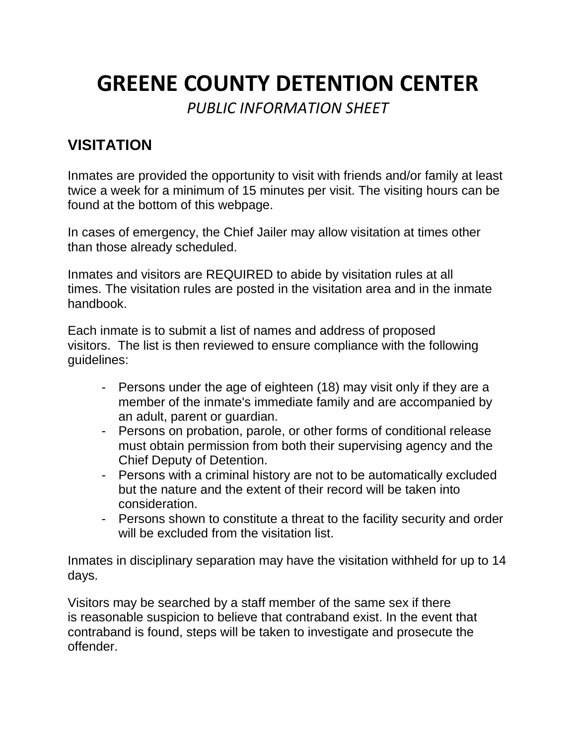# **GREENE COUNTY DETENTION CENTER**

*PUBLIC INFORMATION SHEET*

# **VISITATION**

Inmates are provided the opportunity to visit with friends and/or family at least twice a week for a minimum of 15 minutes per visit. The visiting hours can be found at the bottom of this webpage.

In cases of emergency, the Chief Jailer may allow visitation at times other than those already scheduled.

Inmates and visitors are REQUIRED to abide by visitation rules at all times. The visitation rules are posted in the visitation area and in the inmate handbook.

Each inmate is to submit a list of names and address of proposed visitors. The list is then reviewed to ensure compliance with the following guidelines:

- Persons under the age of eighteen (18) may visit only if they are a member of the inmate's immediate family and are accompanied by an adult, parent or guardian.
- Persons on probation, parole, or other forms of conditional release must obtain permission from both their supervising agency and the Chief Deputy of Detention.
- Persons with a criminal history are not to be automatically excluded but the nature and the extent of their record will be taken into consideration.
- Persons shown to constitute a threat to the facility security and order will be excluded from the visitation list.

Inmates in disciplinary separation may have the visitation withheld for up to 14 days.

Visitors may be searched by a staff member of the same sex if there is reasonable suspicion to believe that contraband exist. In the event that contraband is found, steps will be taken to investigate and prosecute the offender.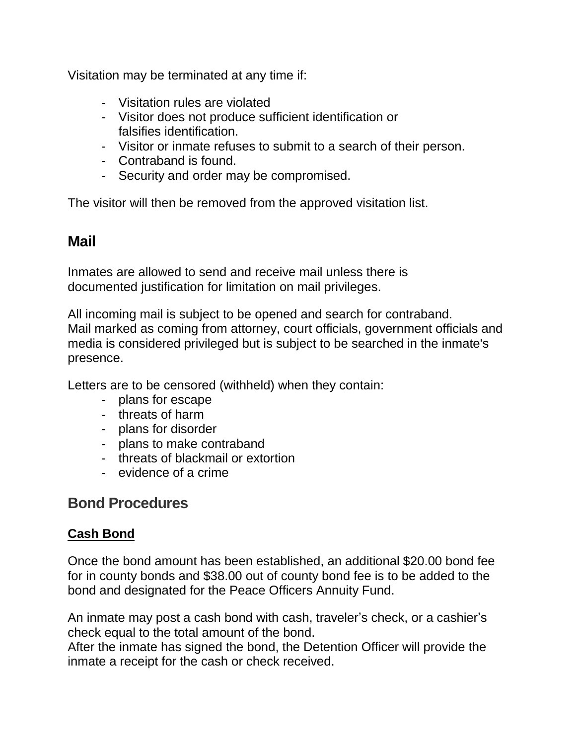Visitation may be terminated at any time if:

- Visitation rules are violated
- Visitor does not produce sufficient identification or falsifies identification.
- Visitor or inmate refuses to submit to a search of their person.
- Contraband is found.
- Security and order may be compromised.

The visitor will then be removed from the approved visitation list.

# **Mail**

Inmates are allowed to send and receive mail unless there is documented justification for limitation on mail privileges.

All incoming mail is subject to be opened and search for contraband. Mail marked as coming from attorney, court officials, government officials and media is considered privileged but is subject to be searched in the inmate's presence.

Letters are to be censored (withheld) when they contain:

- plans for escape
- threats of harm
- plans for disorder
- plans to make contraband
- threats of blackmail or extortion
- evidence of a crime

# **Bond Procedures**

#### **Cash Bond**

Once the bond amount has been established, an additional \$20.00 bond fee for in county bonds and \$38.00 out of county bond fee is to be added to the bond and designated for the Peace Officers Annuity Fund.

An inmate may post a cash bond with cash, traveler's check, or a cashier's check equal to the total amount of the bond.

After the inmate has signed the bond, the Detention Officer will provide the inmate a receipt for the cash or check received.